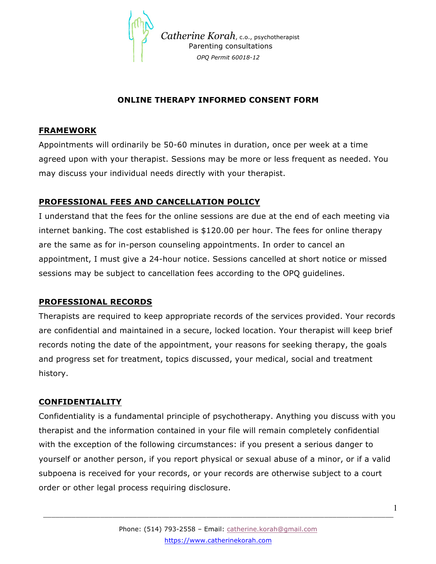

 *Catherine Korah*, c.o., psychotherapist Parenting consultations  *OPQ Permit 60018-12*

### **ONLINE THERAPY INFORMED CONSENT FORM**

#### **FRAMEWORK**

Appointments will ordinarily be 50-60 minutes in duration, once per week at a time agreed upon with your therapist. Sessions may be more or less frequent as needed. You may discuss your individual needs directly with your therapist.

# **PROFESSIONAL FEES AND CANCELLATION POLICY**

I understand that the fees for the online sessions are due at the end of each meeting via internet banking. The cost established is \$120.00 per hour. The fees for online therapy are the same as for in-person counseling appointments. In order to cancel an appointment, I must give a 24-hour notice. Sessions cancelled at short notice or missed sessions may be subject to cancellation fees according to the OPQ guidelines.

### **PROFESSIONAL RECORDS**

Therapists are required to keep appropriate records of the services provided. Your records are confidential and maintained in a secure, locked location. Your therapist will keep brief records noting the date of the appointment, your reasons for seeking therapy, the goals and progress set for treatment, topics discussed, your medical, social and treatment history.

### **CONFIDENTIALITY**

Confidentiality is a fundamental principle of psychotherapy. Anything you discuss with you therapist and the information contained in your file will remain completely confidential with the exception of the following circumstances: if you present a serious danger to yourself or another person, if you report physical or sexual abuse of a minor, or if a valid subpoena is received for your records, or your records are otherwise subject to a court order or other legal process requiring disclosure.